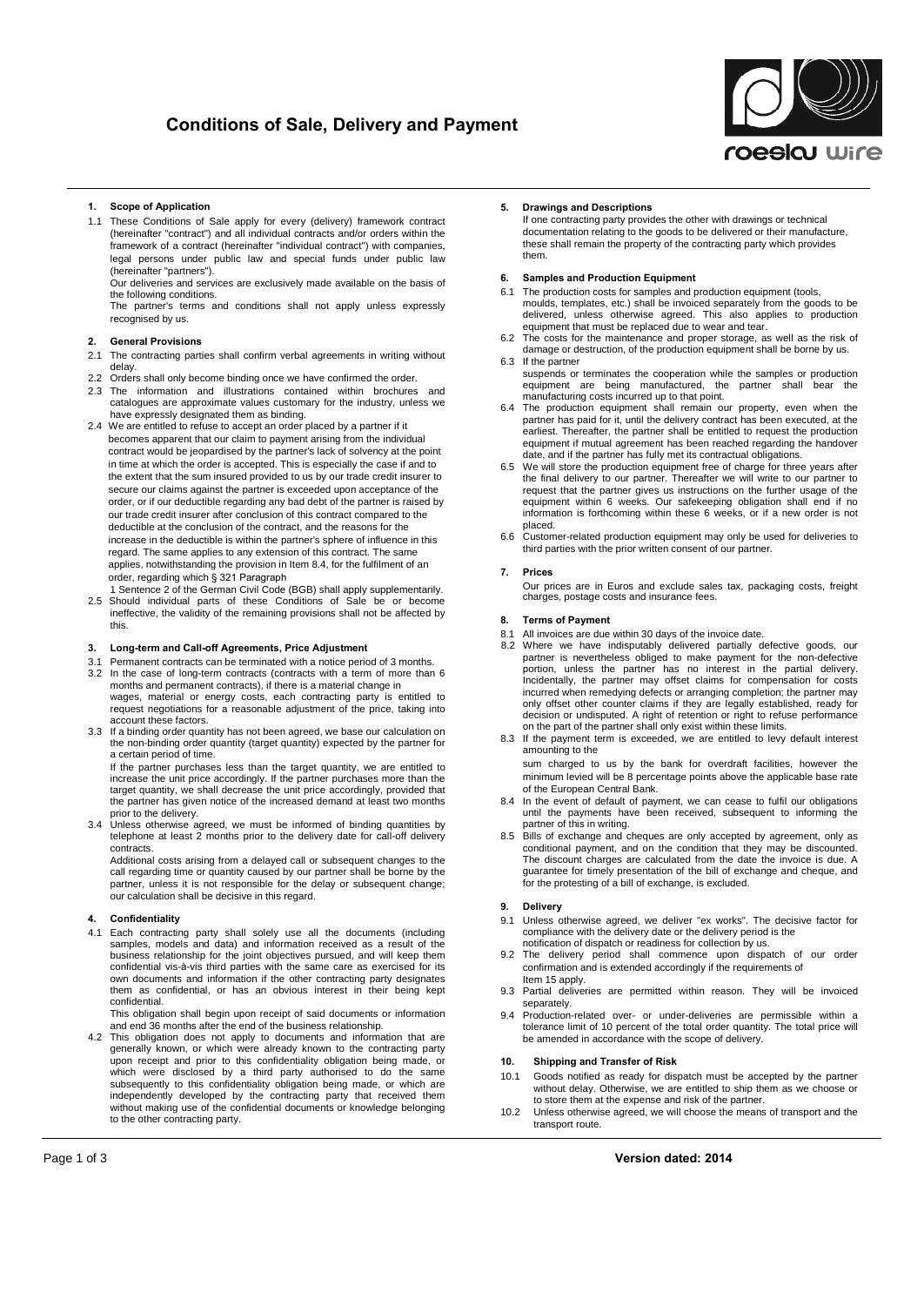# **of Sale, Delivery and Payment**



## **Scope of Application**

1.1 These Conditions of Sale apply for every (delivery) framework contract (hereinafter "contract") and all individual contracts and/or orders within the framework of a contract (hereinafter "individual contract") with companies, legal persons under public law and special funds under public law (hereinafter "partners").

Our deliveries and services are exclusively made available on the basis of the following conditions.

The partner's terms and conditions shall not apply unless expressly recognised by us.

#### **General Provisions**  $\overline{2}$

- 2.1 The contracting parties shall confirm verbal agreements in writing without delay.
- 2.2 Orders shall only become binding once we have confirmed the order.
- 2.3 The information and illustrations contained within brochures and catalogues are approximate values customary for the industry, unless we have expressly designated them as binding.
- 2.4 We are entitled to refuse to accept an order placed by a partner if it becomes apparent that our claim to payment arising from the individual contract would be jeopardised by the partner's lack of solvency at the point in time at which the order is accepted. This is especially the case if and to the extent that the sum insured provided to us by our trade credit insurer to secure our claims against the partner is exceeded upon acceptance of the order, or if our deductible regarding any bad debt of the partner is raised by our trade credit insurer after conclusion of this contract compared to the deductible at the conclusion of the contract, and the reasons for the increase in the deductible is within the partner's sphere of influence in this regard. The same applies to any extension of this contract. The same applies, notwithstanding the provision in Item 8.4, for the fulfilment of an regard. The same applies to any extension of this<br>applies, notwithstanding the provision in Item 8.4,<br>order, regarding which § 321 Paragraph
- 1 Sentence 2 ofthe German Civil Code (BGB) shall apply supplementarily. 2.5 Should individual parts ofthese Conditions ofSale be orbecome ineffective, the validity of the remaining provisions shall not be affected by this. **3.**

#### $3.$ **Long-term andCall-off Agreements, Price Adjustment**

- 3.1 Permanent contracts can be terminated with a notice period of 3 months.
- 3.2 In the case of long-term contracts (contracts with a term of more than 6 months and permanent contracts), if there is a material change in<br>wages, material or energy costs, each contracting party is entitled to request negotiations for a reasonable adjustment of the price, taking into account these factors.
- 3.3 If a binding order quantity has not been agreed, we base our calculation on the non-binding order quantity (target quantity) expected by the partner for<br>a certain period of time. If the partner purchases less than the target quantity, we are entitled to

increase the unit price accordingly. If the partner purchases more than the target quantity, we shall decrease the unit price accordingly, provided that<br>the partner has given notice of the increased demand at least two months prior to the delivery.

3.4 Unless otherwise agreed, we must be informed of binding quantities by telephone at least 2 months prior to the delivery date forcall-off delivery contracts.

Additional costs arising from a delayed call or subsequent changes to the call regarding time or quantity caused by our partner shall be borne by the partner, unless it is not responsible for the delay or subsequent change; our calculation shallbe decisive in this regard. **4. Confidentiality**

Each contracting party shall solely use all the documents (including samples, models and data) and information received as a result of the samples, models and data) and information received as a result of the<br>business relationship for the joint objectives pursued, and will keep them<br>confidential vis-à-vis third parties with the same care as exercised for its own documents and information if the other contracting party designates them as confidential, or has an obvious interest in their being kept confidential.

This obligation shall begin upon receipt of said documents or information and end 36 months after the end of the business relationship.

4.2 This obligation does not apply to documents and information that are generally known, or which were already known to the contracting party upon receipt and prior to this confidentiality obligation being made, or which were disclosed by a third party authorised to do the same subsequently to this confidentiality obligation being made, or which are independently developed by the contracting party that received them<br>without making use of the confidential documents or knowledge belonging to the other contracting party. **Page 1 of 3 Version dated: 2014**<br> **Page 1 of 3 Version dated: 2014** 

#### 5. **Drawings and Descriptions**

If one contracting party provides the other with drawings or technical documentation relating to the goods to be delivered or their manufacture, these shall remain the property of the contracting party which provides them. **6.**

## **Samples and Production Equipment**

- 6.1 The production costs for samples and production equipment (tools, moulds, templates, etc.) shall be invoiced separately from the goods to be delivered, unless otherwise agreed. This also applies to production equipment that must be replaced due to wear and tear.
- 6.2 The costs for the maintenance and proper storage, as well as the risk of damage or destruction, of the production equipment shall be borne by us.6.3 If the partner
- suspends or terminates the cooperation while the samples or production equipment are being manufactured, the partner shall bear the<br>manufacturing costs incurred up to that point.
- 6.4 The production equipment shall remain our property, even when the partner has paid for it, until the delivery contract has been executed, at the earliest. Thereafter, the partner shall be entitled to request the production equipment if mutual agreement has been reached regarding the handover date, and if the partner has fully met its contractual obligations. 6.5 We will store the production equipment free of charge forthree years after
- the final delivery to our partner. Thereafter we will write to our partner to request that the partner gives us instructions on the further usage of the equipment within 6 weeks. Our safekeeping obligation shall end if no information is forthcoming within these 6 weeks, or if a new order is not placed.
- 6.6 Customer-related production equipment may only be used for deliveries to third parties with the prior written consent of our partner. **7. Prices**

#### $\overline{7}$ .

Our prices are in Euros and exclude sales tax, packaging costs, freight charges, postage costs and insurance fees. **8. Terms of Payment**

#### $\mathbf{8}$

- 8.1 All invoices are due within 30 days of the invoice date.
- 8.2 Where we have indisputably delivered partially defective goods, our partner is nevertheless obliged to make payment for the non-defective portion, unless the partner has no interest in the partial delivery. Incidentally, the partner may offset claims for compensation forcosts incurred when remedying defects or arranging completion; the partner may only offset other counter claims if they are legally established, ready for decision or undisputed. A right of retention or right to refuse performance on the partof the partner shall only exist within these limits.
- 8.3 If the payment term is exceeded, we are entitled to levy default interest amounting to the

sum charged to us by the bank for overdraft facilities, however the minimum levied will be 8 percentage points above the applicable base rate of the European Central Bank.

- 8.4 In the event of default of payment, we can cease to fulfil our obligations until the payments have been received, subsequent to informing the partner of this in writing.
- 8.5 Bills of exchange and cheques are only accepted by agreement, only as conditional payment, and on the condition that they may be discounted. The discount charges are calculated from the date the invoice is due. A guarantee for timely presentation of the bill of exchange and cheque, and for the protesting of a bill of exchange, is excluded. **9. Delivery**

#### 9.

- 9.1 Unless otherwise agreed, we deliver "ex works". The decisive factor for compliance with the delivery date or the delivery period is the
- notification of dispatch or readiness for collection by us.9.2 The delivery period shall commence upon dispatch of our order confirmation and is extended accordingly if the requirements of Item 15 apply.
- 9.3 Partial deliveries are permitted within reason. They will be invoiced separately
- 9.4 Production-related over- or under-deliveries are permissible within a tolerance limit of 10 percent of the total order quantity. The total price will be amended in accordance with the scope of delivery. **10. Shipping and Transfer of Risk**

## $10.$

- 10.1 Goods notified as ready for dispatch must be accepted by the partner without delay. Otherwise, we are entitled to ship them as we choose or to store them at the expense and risk of the partner.
- 10.2 Unless otherwise agreed, we will choose the means of transport and the transport route.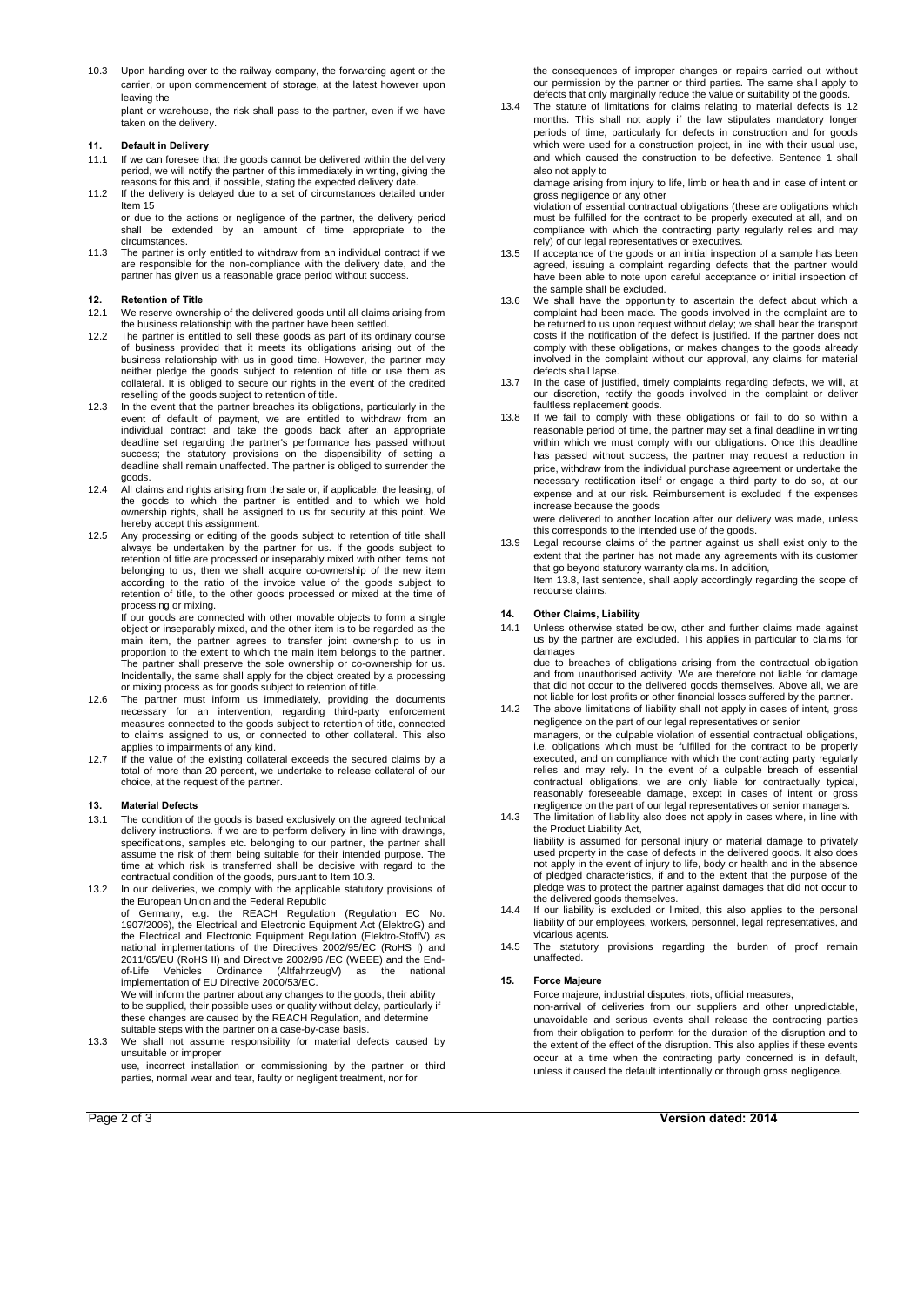10.3 Upon handing over to the railway company, the forwarding agent or the carrier, or upon commencement of storage, at the latest however upon leaving the

plant or warehouse, the risk shall pass to the partner, even if we have taken on the delivery. **11. Default in Delivery**

## $11.$

- 11.1 If we can foresee that the goods cannot be delivered within the delivery period, we will notify the partner of this immediately in writing, giving the reasons for this and, if possible, stating the expected delivery date.
- 11.2 If the delivery is delayed due to a set of circumstances detailed under Item 15 or due to the actions or negligence of the partner, the delivery period shall be extended by an amount of time appropriate to the circumstances.
- 11.3 The partner is only entitled to withdraw from an individual contract if we are responsible for the non-compliance with the delivery date, and the partner has given us a reasonable grace period without success. **12. Retention of Title**

## $12<sup>12</sup>$

- 12.1 We reserve ownership of the delivered goods until all claims arising from
- the business relationship with the partner have been settled. 12.2 The partner is entitled to sell these goods as part of its ordinary course of business provided that it meets its obligations arising out of the business relationship with us in good time. However, the partner may neither pledge the goods subject to retention of title or use them as collateral. It is obliged to secure our rights in the event of the credited reselling of the goods subject to retention of title.
- 12.3 In the event that the partner breaches its obligations, particularly in the event of default of payment, we are entitled to withdraw from an individual contract and take the goods back after an appropriate deadline set regarding the partner's performance has passed without<br>success; the statutory provisions on the dispensibility of setting a deadline shall remain unaffected. The partner is obliged to surrender the goods.
- 12.4 Allclaims and rights arising from the sale or, if applicable, the leasing, of the goods to which the partner is entitled and to which we hold ownership rights, shall be assigned to us for security at this point. We hereby accept this assignment.
- 12.5 Any processing or editing of the goods subject to retention of title shall<br>always be undertaken by the partner for us. If the goods subject to<br>retention of title are processed or inseparably mixed with other items not belonging to us, then we shall acquire co-ownership of the new item<br>according to the ratio of the invoice value of the goods subject to retention of title, to the other goods processed or mixed at the time of processing or mixing.

If our goods are connected with other movable objects to form a single object or inseparably mixed, and the other item is to be regarded as the main item, the partner agrees to transfer joint ownership to us in proportion to the extent to which the main item belongs to the partner. The partner shall preserve the sole ownership or co-ownership for us. Incidentally, the same shall apply for the object created by a processing or mixing process as for goods subject to retention of title.

- 12.6 The partner must inform us immediately, providing the documents necessary for an intervention, regarding third-party enforcement measures connected to the goods subject to retention of title, connected to claims assigned to us, or connected to other collateral. This also
- applies to impairments of any kind.<br>12.7 If the value of the existing collateral exceeds the secured claims by a total of more than 20 percent, we undertake to release collateral of our choice, at the request of the partner. **13. Material Defects**

#### $13.$

- 13.1 The condition of the goods is based exclusively on the agreed technical delivery instructions. If we are to perform delivery in line with drawings, specifications, samples etc. belonging to our partner, the partner shall<br>assume the risk of them being suitable for their intended purpose. The time at which risk is transferred shall be decisive with regard to the
- contractual condition of the goods, pursuant to Item 10.3. 13.2 In our deliveries, we comply with the applicable statutory provisions of the European Union and the Federal Republic of Germany, e.g. the REACH Regulation (Regulation EC No.<br>1907/2006), the Electrical and Electronic Equipment Act (ElektroG) and<br>the Electrical and Electronic Equipment Regulation (Elektro-StoffV) as<br>national implementation implementation of EU Directive 2000/53/EC.

We will inform the partner about any changes to the goods, their ability to be supplied, their possible uses orquality without delay, particularly if these changes are caused by the REACH Regulation, and determine suitable steps with the partner on a case-by-case basis.

13.3 We shall not assume responsibility for material defects caused by unsuitable or improper use, incorrect installation or commissioning by the partner or third

parties, normal wear and tear, faulty or negligent treatment, nor for Page <sup>2</sup> of <sup>3</sup> **Version dated: <sup>2014</sup>**

the consequences of improper changes or repairs carried out without our permission by the partner or third parties. The same shall apply to defects that only marginally reduce the value or suitability of the goods.

13.4 The statute of limitations for claims relating to material defects is 12 months. This shall not apply if the law stipulates mandatory longer periods of time, particularly for defects in construction and for goods which were used for a construction project, in line with their usual use, and which caused the construction to be defective. Sentence <sup>1</sup> shallalso not apply to

damage arising from injury to life, limb or health and in case of intent or gross negligence or any other

violation of essential contractual obligations (these are obligations which must be fulfilled for the contract to be properly executed at all, and on compliance with which the contracting party regularly relies and may rely) of our legal representatives orexecutives.

- 13.5 If acceptance of the goods or an initial inspection of a sample has been agreed, issuing a complaint regarding defects that the partner would have been able to note upon careful acceptance or initial inspection of the sample shall be excluded.
- 13.6 We shall have the opportunity to ascertain the defect about which a complaint had been made. The goods involved in the complaint are to be returned to us upon request without delay; we shall bear the transport<br>costs if the notification of the defect is justified. If the partner does not comply with these obligations, or makes changes to the goods already involved in the complaint without our approval, any claims for material defects shall lapse.
- 13.7 In the case of justified, timely complaints regarding defects, we will, at our discretion, rectify the goods involved in the complaint or deliver faultless replacement goods.
- 13.8 If we fail to comply with these obligations or fail to do so within a reasonable period of time, the partner may seta final deadline in writing within which we must comply with our obligations. Once this deadline has passed without success, the partner may request a reduction in price, withdraw from the individual purchase agreement or undertake the necessary rectification itself or engage a third party to do so, at our expense and at our risk. Reimbursement is excluded if the expenses increase because the goods

were delivered to another location after our delivery was made, unless this corresponds to the intended use of the goods.

13.9 Legal recourse claims of the partner against us shall exist only to the extent that the partner has not made any agreements with its customer that go beyond statutory warranty claims. In addition, Item 13.8, last sentence, shall apply accordingly regarding the scope of recourse claims.

#### **Other Claims, Liability**  $14.$

14.1 Unless otherwise stated below, other and further claims made against us by the partner are excluded. This applies in particular to claims for damages due to breaches of obligations arising from the contractual obligation and from unauthorised activity. We are therefore not liable fordamage

that did not occur to the delivered goods themselves. Above all, we are not liable for lost profits or other financial losses suffered by the partner.

- 14.2 The above limitations of liability shall not apply in cases of intent, gross negligence on the part of our legal representatives or senior managers, or the culpable violation of essential contractual obligations, i.e. obligations which must be fulfilled for the contract to be properly executed, and on compliance with which the contracting party regularly relies and may rely. In the event of a culpable breach of essential contractual obligations, we are only liable for contractually typical,<br>reasonably foreseeable damage, except in cases of intent or gross negligence on the part of our legal representatives orsenior managers.
- 14.3 The limitation of liability also does not apply in cases where, in line with the Product Liability Act, liability is assumed for personal injury or material damage to privately<br>used property in the case of defects in the delivered goods. It also does not apply in the event of injury to life, body or health and in the absence<br>of pledged characteristics, if and to the extent that the purpose of the pledge was to protect the partner against damages that did not occur to the delivered goods themselves.
- 14.4 If our liability is excluded or limited, this also applies to the personal liability of our employees, workers, personnel, legal representatives, and vicarious agents.
- 14.5 The statutory provisions regarding the burden of proof remain unaffected.

#### 15. **Force Majeure**

Force majeure, industrial disputes, riots, official measures,

non-arrival of deliveries from our suppliers and other unpredictable, unavoidable and serious events shall release the contracting parties from their obligation to perform for the duration of the disruption and to the extent of the effect of the disruption. This also applies if these events occur at a time when the contracting party concerned is in default, unless it caused the default intentionally or through gross negligence.